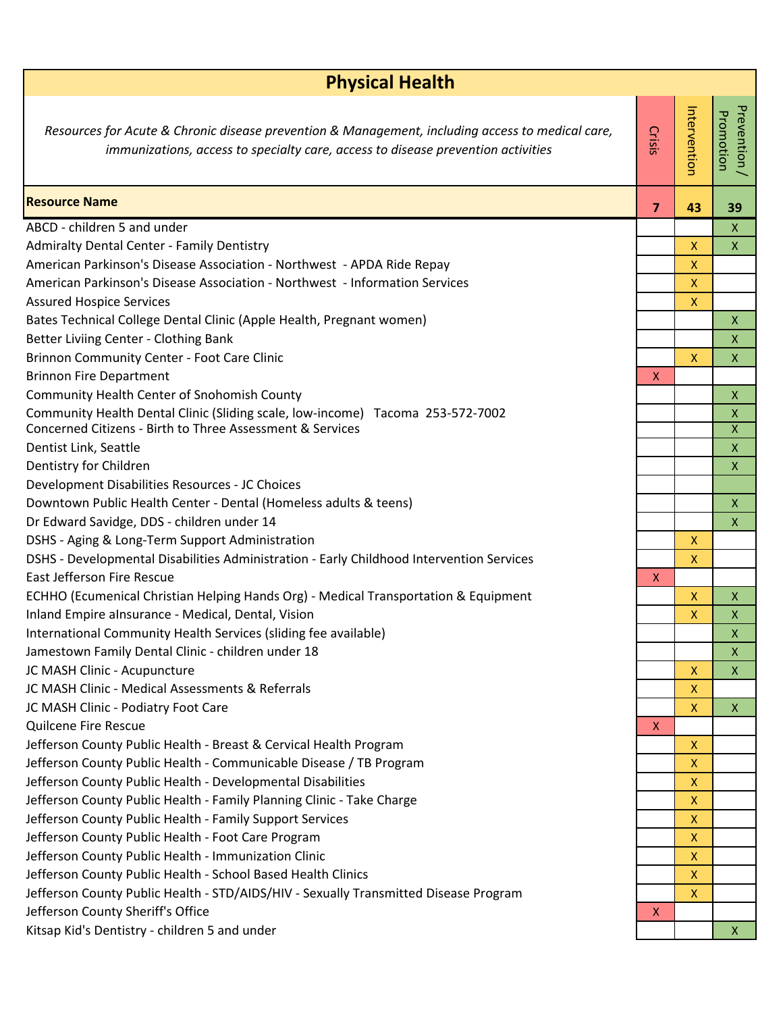| <b>Physical Health</b>                                                                                                                                                               |                |                           |                                      |  |
|--------------------------------------------------------------------------------------------------------------------------------------------------------------------------------------|----------------|---------------------------|--------------------------------------|--|
| Resources for Acute & Chronic disease prevention & Management, including access to medical care,<br>immunizations, access to specialty care, access to disease prevention activities | <b>Crisis</b>  | Intervention              | Prevention /<br>Promotion            |  |
| <b>Resource Name</b>                                                                                                                                                                 | $\overline{7}$ | 43                        | 39                                   |  |
| ABCD - children 5 and under                                                                                                                                                          |                |                           | $\mathsf{X}$                         |  |
| <b>Admiralty Dental Center - Family Dentistry</b>                                                                                                                                    |                | X                         | $\mathsf{X}$                         |  |
| American Parkinson's Disease Association - Northwest - APDA Ride Repay                                                                                                               |                | $\mathsf{x}$              |                                      |  |
| American Parkinson's Disease Association - Northwest - Information Services                                                                                                          |                | X                         |                                      |  |
| <b>Assured Hospice Services</b>                                                                                                                                                      |                | $\mathsf{X}$              |                                      |  |
| Bates Technical College Dental Clinic (Apple Health, Pregnant women)                                                                                                                 |                |                           | $\pmb{\mathsf{X}}$                   |  |
| Better Liviing Center - Clothing Bank                                                                                                                                                |                |                           | $\mathsf{X}$                         |  |
| Brinnon Community Center - Foot Care Clinic                                                                                                                                          |                | X                         | $\pmb{\mathsf{X}}$                   |  |
| <b>Brinnon Fire Department</b>                                                                                                                                                       | X              |                           |                                      |  |
| Community Health Center of Snohomish County                                                                                                                                          |                |                           | $\mathsf X$                          |  |
| Community Health Dental Clinic (Sliding scale, low-income) Tacoma 253-572-7002<br>Concerned Citizens - Birth to Three Assessment & Services                                          |                |                           | $\pmb{\mathsf{X}}$<br>$\overline{X}$ |  |
| Dentist Link, Seattle                                                                                                                                                                |                |                           | $\pmb{\mathsf{X}}$                   |  |
| Dentistry for Children                                                                                                                                                               |                |                           | $\mathsf X$                          |  |
| Development Disabilities Resources - JC Choices                                                                                                                                      |                |                           |                                      |  |
| Downtown Public Health Center - Dental (Homeless adults & teens)                                                                                                                     |                |                           | $\mathsf X$                          |  |
| Dr Edward Savidge, DDS - children under 14                                                                                                                                           |                |                           | $\mathsf{X}$                         |  |
| DSHS - Aging & Long-Term Support Administration                                                                                                                                      |                | $\boldsymbol{\mathsf{X}}$ |                                      |  |
| DSHS - Developmental Disabilities Administration - Early Childhood Intervention Services                                                                                             |                | $\boldsymbol{\mathsf{X}}$ |                                      |  |
| <b>East Jefferson Fire Rescue</b>                                                                                                                                                    | $\mathsf{X}$   |                           |                                      |  |
| ECHHO (Ecumenical Christian Helping Hands Org) - Medical Transportation & Equipment                                                                                                  |                | $\mathsf{X}$              | $\pmb{\mathsf{X}}$                   |  |
| Inland Empire alnsurance - Medical, Dental, Vision                                                                                                                                   |                | X                         | X                                    |  |
| International Community Health Services (sliding fee available)                                                                                                                      |                |                           | $\pmb{\times}$                       |  |
| Jamestown Family Dental Clinic - children under 18                                                                                                                                   |                |                           | X                                    |  |
| JC MASH Clinic - Acupuncture                                                                                                                                                         |                | $\mathsf{X}$              | $\mathsf X$                          |  |
| JC MASH Clinic - Medical Assessments & Referrals                                                                                                                                     |                | X                         |                                      |  |
| JC MASH Clinic - Podiatry Foot Care                                                                                                                                                  |                | $\boldsymbol{\mathsf{X}}$ | $\mathsf{X}$                         |  |
| Quilcene Fire Rescue                                                                                                                                                                 | $\mathsf{X}$   |                           |                                      |  |
| Jefferson County Public Health - Breast & Cervical Health Program                                                                                                                    |                | X                         |                                      |  |
| Jefferson County Public Health - Communicable Disease / TB Program                                                                                                                   |                | $\boldsymbol{\mathsf{X}}$ |                                      |  |
| Jefferson County Public Health - Developmental Disabilities                                                                                                                          |                | $\boldsymbol{\mathsf{X}}$ |                                      |  |
| Jefferson County Public Health - Family Planning Clinic - Take Charge                                                                                                                |                | $\mathsf{X}$              |                                      |  |
| Jefferson County Public Health - Family Support Services                                                                                                                             |                | $\boldsymbol{\mathsf{X}}$ |                                      |  |
| Jefferson County Public Health - Foot Care Program                                                                                                                                   |                | $\boldsymbol{\mathsf{X}}$ |                                      |  |
| Jefferson County Public Health - Immunization Clinic                                                                                                                                 |                | $\pmb{\mathsf{X}}$        |                                      |  |
| Jefferson County Public Health - School Based Health Clinics                                                                                                                         |                | $\boldsymbol{\mathsf{X}}$ |                                      |  |
| Jefferson County Public Health - STD/AIDS/HIV - Sexually Transmitted Disease Program                                                                                                 |                | $\boldsymbol{\mathsf{X}}$ |                                      |  |
| Jefferson County Sheriff's Office                                                                                                                                                    | X              |                           |                                      |  |
| Kitsap Kid's Dentistry - children 5 and under                                                                                                                                        |                |                           | X                                    |  |